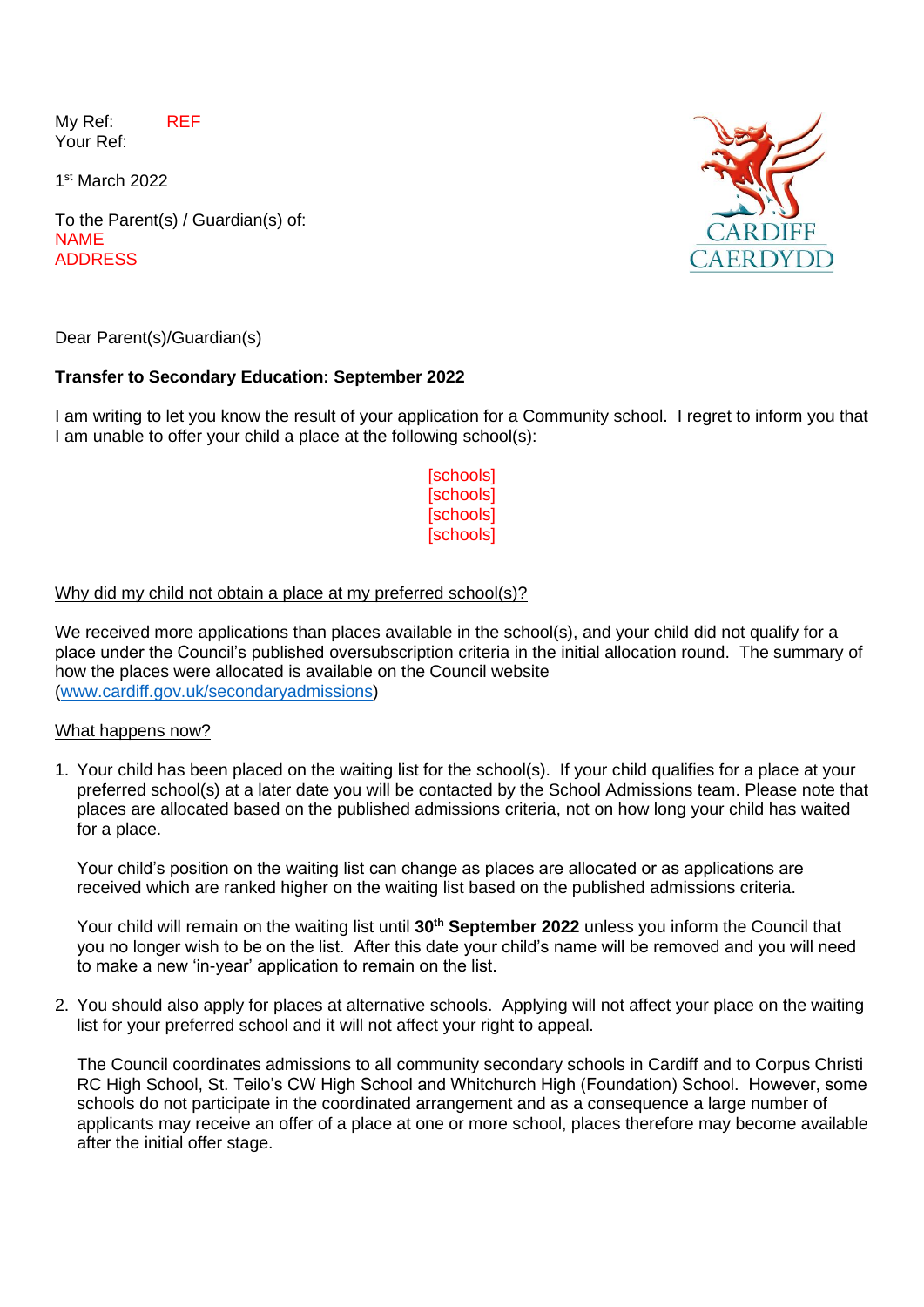My Ref: REF Your Ref:

1 st March 2022

To the Parent(s) / Guardian(s) of: NAME ADDRESS



Dear Parent(s)/Guardian(s)

# **Transfer to Secondary Education: September 2022**

I am writing to let you know the result of your application for a Community school. I regret to inform you that I am unable to offer your child a place at the following school(s):

> **[schools] [schools] [schools]** [schools]

# Why did my child not obtain a place at my preferred school(s)?

We received more applications than places available in the school(s), and your child did not qualify for a place under the Council's published oversubscription criteria in the initial allocation round. The summary of how the places were allocated is available on the Council website [\(www.cardiff.gov.uk/secondaryadmissions\)](http://www.cardiff.gov.uk/secondaryadmissions)

#### What happens now?

1. Your child has been placed on the waiting list for the school(s). If your child qualifies for a place at your preferred school(s) at a later date you will be contacted by the School Admissions team. Please note that places are allocated based on the published admissions criteria, not on how long your child has waited for a place.

Your child's position on the waiting list can change as places are allocated or as applications are received which are ranked higher on the waiting list based on the published admissions criteria.

Your child will remain on the waiting list until **30th September 2022** unless you inform the Council that you no longer wish to be on the list. After this date your child's name will be removed and you will need to make a new 'in-year' application to remain on the list.

2. You should also apply for places at alternative schools. Applying will not affect your place on the waiting list for your preferred school and it will not affect your right to appeal.

The Council coordinates admissions to all community secondary schools in Cardiff and to Corpus Christi RC High School, St. Teilo's CW High School and Whitchurch High (Foundation) School. However, some schools do not participate in the coordinated arrangement and as a consequence a large number of applicants may receive an offer of a place at one or more school, places therefore may become available after the initial offer stage.